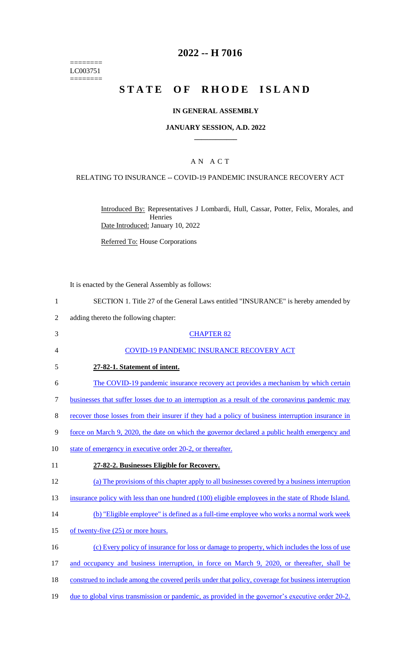======== LC003751 ========

# **2022 -- H 7016**

# **STATE OF RHODE ISLAND**

#### **IN GENERAL ASSEMBLY**

#### **JANUARY SESSION, A.D. 2022 \_\_\_\_\_\_\_\_\_\_\_\_**

### A N A C T

#### RELATING TO INSURANCE -- COVID-19 PANDEMIC INSURANCE RECOVERY ACT

Introduced By: Representatives J Lombardi, Hull, Cassar, Potter, Felix, Morales, and Henries Date Introduced: January 10, 2022

Referred To: House Corporations

It is enacted by the General Assembly as follows:

1 SECTION 1. Title 27 of the General Laws entitled "INSURANCE" is hereby amended by

- 2 adding thereto the following chapter:
- 3 CHAPTER 82 4 COVID-19 PANDEMIC INSURANCE RECOVERY ACT 5 **27-82-1. Statement of intent.**  6 The COVID-19 pandemic insurance recovery act provides a mechanism by which certain 7 businesses that suffer losses due to an interruption as a result of the coronavirus pandemic may 8 recover those losses from their insurer if they had a policy of business interruption insurance in 9 force on March 9, 2020, the date on which the governor declared a public health emergency and 10 state of emergency in executive order 20-2, or thereafter. 11 **27-82-2. Businesses Eligible for Recovery.**  12 (a) The provisions of this chapter apply to all businesses covered by a business interruption 13 insurance policy with less than one hundred (100) eligible employees in the state of Rhode Island. 14 (b) "Eligible employee" is defined as a full-time employee who works a normal work week 15 of twenty-five (25) or more hours. 16 (c) Every policy of insurance for loss or damage to property, which includes the loss of use 17 and occupancy and business interruption, in force on March 9, 2020, or thereafter, shall be 18 construed to include among the covered perils under that policy, coverage for business interruption 19 due to global virus transmission or pandemic, as provided in the governor's executive order 20-2.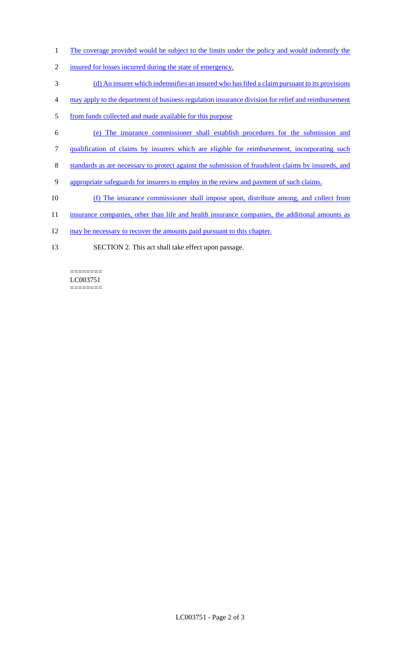- 1 The coverage provided would be subject to the limits under the policy and would indemnify the
- 2 insured for losses incurred during the state of emergency.
- 3 (d) An insurer which indemnifies an insured who has filed a claim pursuant to its provisions
- 4 may apply to the department of business regulation insurance division for relief and reimbursement
- 5 from funds collected and made available for this purpose
- 6 (e) The insurance commissioner shall establish procedures for the submission and
- 7 qualification of claims by insurers which are eligible for reimbursement, incorporating such
- 8 standards as are necessary to protect against the submission of fraudulent claims by insureds, and
- 9 appropriate safeguards for insurers to employ in the review and payment of such claims.
- 10 (f) The insurance commissioner shall impose upon, distribute among, and collect from
- 11 insurance companies, other than life and health insurance companies, the additional amounts as
- 12 may be necessary to recover the amounts paid pursuant to this chapter.
- 13 SECTION 2. This act shall take effect upon passage.

LC003751 ========

========